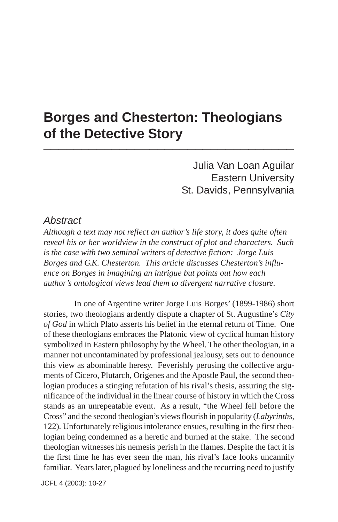## **Borges and Chesterton: Theologians of the Detective Story \_\_\_\_\_\_\_\_\_\_\_\_\_\_\_\_\_\_\_\_\_\_\_\_\_\_\_\_\_\_\_\_\_**

Julia Van Loan Aguilar Eastern University St. Davids, Pennsylvania

#### *Abstract*

*Although a text may not reflect an author's life story, it does quite often reveal his or her worldview in the construct of plot and characters. Such is the case with two seminal writers of detective fiction: Jorge Luis Borges and G.K. Chesterton. This article discusses Chesterton's influence on Borges in imagining an intrigue but points out how each author's ontological views lead them to divergent narrative closure.*

In one of Argentine writer Jorge Luis Borges' (1899-1986) short stories, two theologians ardently dispute a chapter of St. Augustine's *City of God* in which Plato asserts his belief in the eternal return of Time. One of these theologians embraces the Platonic view of cyclical human history symbolized in Eastern philosophy by the Wheel. The other theologian, in a manner not uncontaminated by professional jealousy, sets out to denounce this view as abominable heresy. Feverishly perusing the collective arguments of Cicero, Plutarch, Origenes and the Apostle Paul, the second theologian produces a stinging refutation of his rival's thesis, assuring the significance of the individual in the linear course of history in which the Cross stands as an unrepeatable event. As a result, "the Wheel fell before the Cross" and the second theologian's views flourish in popularity (*Labyrinths,* 122)*.* Unfortunately religious intolerance ensues, resulting in the first theologian being condemned as a heretic and burned at the stake. The second theologian witnesses his nemesis perish in the flames. Despite the fact it is the first time he has ever seen the man, his rival's face looks uncannily familiar. Years later, plagued by loneliness and the recurring need to justify

JCFL 4 (2003): 10-27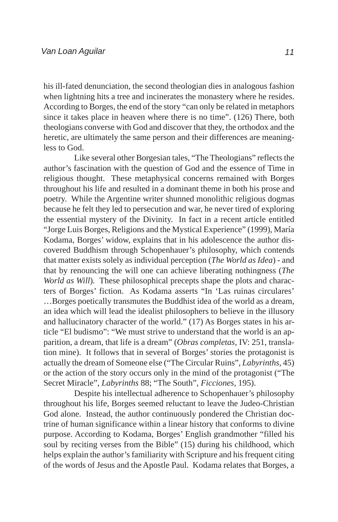his ill-fated denunciation, the second theologian dies in analogous fashion when lightning hits a tree and incinerates the monastery where he resides. According to Borges, the end of the story "can only be related in metaphors since it takes place in heaven where there is no time". (126) There, both theologians converse with God and discover that they, the orthodox and the heretic, are ultimately the same person and their differences are meaningless to God.

Like several other Borgesian tales, "The Theologians" reflects the author's fascination with the question of God and the essence of Time in religious thought. These metaphysical concerns remained with Borges throughout his life and resulted in a dominant theme in both his prose and poetry. While the Argentine writer shunned monolithic religious dogmas because he felt they led to persecution and war, he never tired of exploring the essential mystery of the Divinity. In fact in a recent article entitled "Jorge Luis Borges, Religions and the Mystical Experience" (1999), María Kodama, Borges' widow, explains that in his adolescence the author discovered Buddhism through Schopenhauer's philosophy, which contends that matter exists solely as individual perception (*The World as Idea*) - and that by renouncing the will one can achieve liberating nothingness (*The World as Will*)*.* These philosophical precepts shape the plots and characters of Borges' fiction. As Kodama asserts "In 'Las ruinas circulares' …Borges poetically transmutes the Buddhist idea of the world as a dream, an idea which will lead the idealist philosophers to believe in the illusory and hallucinatory character of the world." (17) As Borges states in his article "El budismo": "We must strive to understand that the world is an apparition, a dream, that life is a dream" (*Obras completas,* IV: 251, translation mine). It follows that in several of Borges' stories the protagonist is actually the dream of Someone else ("The Circular Ruins", *Labyrinths,* 45) or the action of the story occurs only in the mind of the protagonist ("The Secret Miracle", *Labyrinths* 88; "The South", *Ficciones,* 195).

Despite his intellectual adherence to Schopenhauer's philosophy throughout his life, Borges seemed reluctant to leave the Judeo-Christian God alone. Instead, the author continuously pondered the Christian doctrine of human significance within a linear history that conforms to divine purpose. According to Kodama, Borges' English grandmother "filled his soul by reciting verses from the Bible" (15) during his childhood, which helps explain the author's familiarity with Scripture and his frequent citing of the words of Jesus and the Apostle Paul. Kodama relates that Borges, a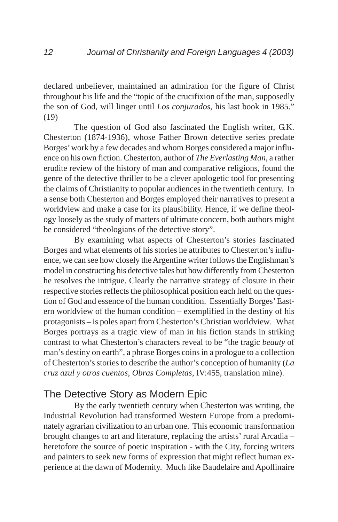declared unbeliever, maintained an admiration for the figure of Christ throughout his life and the "topic of the crucifixion of the man, supposedly the son of God, will linger until *Los conjurados*, his last book in 1985." (19)

The question of God also fascinated the English writer, G.K. Chesterton (1874-1936), whose Father Brown detective series predate Borges' work by a few decades and whom Borges considered a major influence on his own fiction. Chesterton, author of *The Everlasting Man*, a rather erudite review of the history of man and comparative religions, found the genre of the detective thriller to be a clever apologetic tool for presenting the claims of Christianity to popular audiences in the twentieth century. In a sense both Chesterton and Borges employed their narratives to present a worldview and make a case for its plausibility. Hence, if we define theology loosely as the study of matters of ultimate concern, both authors might be considered "theologians of the detective story".

By examining what aspects of Chesterton's stories fascinated Borges and what elements of his stories he attributes to Chesterton's influence, we can see how closely the Argentine writer follows the Englishman's model in constructing his detective tales but how differently from Chesterton he resolves the intrigue. Clearly the narrative strategy of closure in their respective stories reflects the philosophical position each held on the question of God and essence of the human condition. Essentially Borges' Eastern worldview of the human condition – exemplified in the destiny of his protagonists – is poles apart from Chesterton's Christian worldview. What Borges portrays as a tragic view of man in his fiction stands in striking contrast to what Chesterton's characters reveal to be "the tragic *beauty* of man's destiny on earth", a phrase Borges coins in a prologue to a collection of Chesterton's stories to describe the author's conception of humanity (*La cruz azul y otros cuentos, Obras Completas,* IV:455, translation mine).

### The Detective Story as Modern Epic

By the early twentieth century when Chesterton was writing, the Industrial Revolution had transformed Western Europe from a predominately agrarian civilization to an urban one. This economic transformation brought changes to art and literature, replacing the artists' rural Arcadia – heretofore the source of poetic inspiration - with the City, forcing writers and painters to seek new forms of expression that might reflect human experience at the dawn of Modernity. Much like Baudelaire and Apollinaire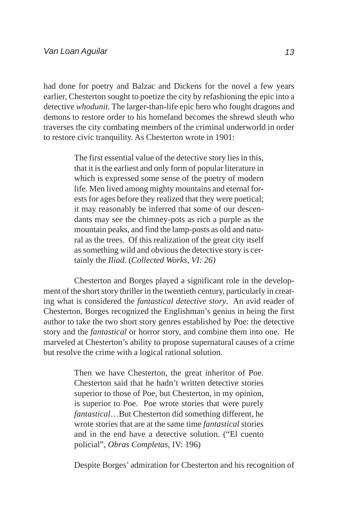had done for poetry and Balzac and Dickens for the novel a few years earlier, Chesterton sought to poetize the city by refashioning the epic into a detective *whodunit.* The larger-than-life epic hero who fought dragons and demons to restore order to his homeland becomes the shrewd sleuth who traverses the city combating members of the criminal underworld in order to restore civic tranquility. As Chesterton wrote in 1901:

> The first essential value of the detective story lies in this, that it is the earliest and only form of popular literature in which is expressed some sense of the poetry of modern life. Men lived among mighty mountains and eternal forests for ages before they realized that they were poetical; it may reasonably be inferred that some of our descendants may see the chimney-pots as rich a purple as the mountain peaks, and find the lamp-posts as old and natural as the trees. Of this realization of the great city itself as something wild and obvious the detective story is certainly the *Iliad*. (*Collected Works, VI: 26)*

Chesterton and Borges played a significant role in the development of the short story thriller in the twentieth century, particularly in creating what is considered the *fantastical detective story*. An avid reader of Chesterton, Borges recognized the Englishman's genius in being the first author to take the two short story genres established by Poe: the detective story and the *fantastical* or horror story, and combine them into one. He marveled at Chesterton's ability to propose supernatural causes of a crime but resolve the crime with a logical rational solution.

> Then we have Chesterton, the great inheritor of Poe. Chesterton said that he hadn't written detective stories superior to those of Poe, but Chesterton, in my opinion, is superior to Poe. Poe wrote stories that were purely *fantastical*…But Chesterton did something different, he wrote stories that are at the same time *fantastical* stories and in the end have a detective solution. ("El cuento policial", *Obras Completas,* IV: 196)

Despite Borges' admiration for Chesterton and his recognition of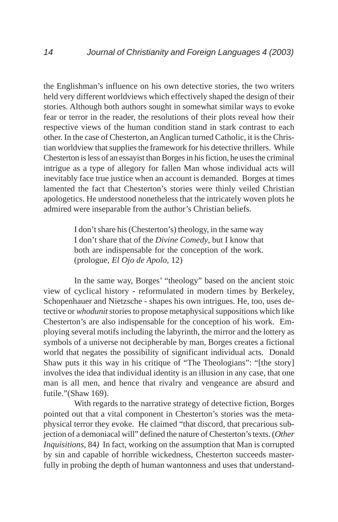the Englishman's influence on his own detective stories, the two writers held very different worldviews which effectively shaped the design of their stories. Although both authors sought in somewhat similar ways to evoke fear or terror in the reader, the resolutions of their plots reveal how their respective views of the human condition stand in stark contrast to each other. In the case of Chesterton, an Anglican turned Catholic, it is the Christian worldview that supplies the framework for his detective thrillers. While Chesterton is less of an essayist than Borges in his fiction, he uses the criminal intrigue as a type of allegory for fallen Man whose individual acts will inevitably face true justice when an account is demanded. Borges at times lamented the fact that Chesterton's stories were thinly veiled Christian apologetics. He understood nonetheless that the intricately woven plots he admired were inseparable from the author's Christian beliefs.

> I don't share his (Chesterton's) theology, in the same way I don't share that of the *Divine Comedy*, but I know that both are indispensable for the conception of the work. (prologue, *El Ojo de Apolo*, 12)

In the same way, Borges' "theology" based on the ancient stoic view of cyclical history - reformulated in modern times by Berkeley, Schopenhauer and Nietzsche - shapes his own intrigues. He, too, uses detective or *whodunit* stories to propose metaphysical suppositions which like Chesterton's are also indispensable for the conception of his work. Employing several motifs including the labyrinth, the mirror and the lottery as symbols of a universe not decipherable by man, Borges creates a fictional world that negates the possibility of significant individual acts. Donald Shaw puts it this way in his critique of "The Theologians": "[the story] involves the idea that individual identity is an illusion in any case, that one man is all men, and hence that rivalry and vengeance are absurd and futile."(Shaw 169).

With regards to the narrative strategy of detective fiction, Borges pointed out that a vital component in Chesterton's stories was the metaphysical terror they evoke. He claimed "that discord, that precarious subjection of a demoniacal will" defined the nature of Chesterton's texts. (*Other Inquisitions,* 84*)* In fact, working on the assumption that Man is corrupted by sin and capable of horrible wickedness, Chesterton succeeds masterfully in probing the depth of human wantonness and uses that understand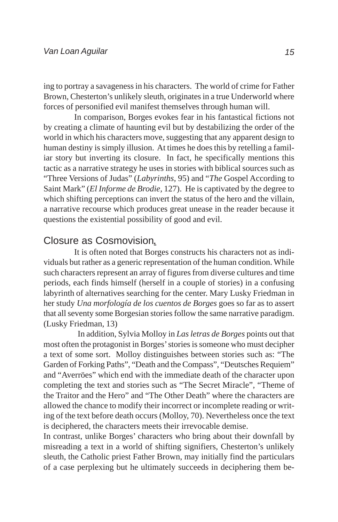ing to portray a savageness in his characters. The world of crime for Father Brown, Chesterton's unlikely sleuth, originates in a true Underworld where forces of personified evil manifest themselves through human will.

In comparison, Borges evokes fear in his fantastical fictions not by creating a climate of haunting evil but by destabilizing the order of the world in which his characters move, suggesting that any apparent design to human destiny is simply illusion. At times he does this by retelling a familiar story but inverting its closure. In fact, he specifically mentions this tactic as a narrative strategy he uses in stories with biblical sources such as "Three Versions of Judas" (*Labyrinths,* 95) and "*The* Gospel According to Saint Mark" (*El Informe de Brodie,* 127). He is captivated by the degree to which shifting perceptions can invert the status of the hero and the villain, a narrative recourse which produces great unease in the reader because it questions the existential possibility of good and evil.

#### Closure as Cosmovision*.*

It is often noted that Borges constructs his characters not as individuals but rather as a generic representation of the human condition. While such characters represent an array of figures from diverse cultures and time periods, each finds himself (herself in a couple of stories) in a confusing labyrinth of alternatives searching for the center. Mary Lusky Friedman in her study *Una morfología de los cuentos de Borges* goes so far as to assert that all seventy some Borgesian stories follow the same narrative paradigm. (Lusky Friedman, 13)

In addition, Sylvia Molloy in *Las letras de Borges* points out that most often the protagonist in Borges' stories is someone who must decipher a text of some sort. Molloy distinguishes between stories such as: "The Garden of Forking Paths", "Death and the Compass", "Deutsches Requiem" and "Averröes" which end with the immediate death of the character upon completing the text and stories such as "The Secret Miracle", "Theme of the Traitor and the Hero" and "The Other Death" where the characters are allowed the chance to modify their incorrect or incomplete reading or writing of the text before death occurs (Molloy, 70). Nevertheless once the text is deciphered, the characters meets their irrevocable demise.

In contrast, unlike Borges' characters who bring about their downfall by misreading a text in a world of shifting signifiers, Chesterton's unlikely sleuth, the Catholic priest Father Brown, may initially find the particulars of a case perplexing but he ultimately succeeds in deciphering them be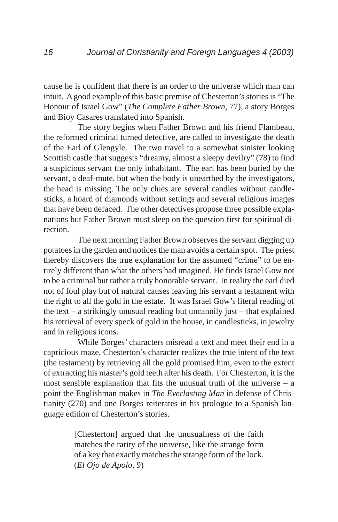cause he is confident that there is an order to the universe which man can intuit. A good example of this basic premise of Chesterton's stories is "The Honour of Israel Gow" (*The Complete Father Brown,* 77), a story Borges and Bioy Casares translated into Spanish.

The story begins when Father Brown and his friend Flambeau, the reformed criminal turned detective, are called to investigate the death of the Earl of Glengyle. The two travel to a somewhat sinister looking Scottish castle that suggests "dreamy, almost a sleepy devilry" (78) to find a suspicious servant the only inhabitant. The earl has been buried by the servant, a deaf-mute, but when the body is unearthed by the investigators, the head is missing. The only clues are several candles without candlesticks, a hoard of diamonds without settings and several religious images that have been defaced. The other detectives propose three possible explanations but Father Brown must sleep on the question first for spiritual direction.

The next morning Father Brown observes the servant digging up potatoes in the garden and notices the man avoids a certain spot. The priest thereby discovers the true explanation for the assumed "crime" to be entirely different than what the others had imagined. He finds Israel Gow not to be a criminal but rather a truly honorable servant. In reality the earl died not of foul play but of natural causes leaving his servant a testament with the right to all the gold in the estate. It was Israel Gow's literal reading of the text – a strikingly unusual reading but uncannily just – that explained his retrieval of every speck of gold in the house, in candlesticks, in jewelry and in religious icons.

While Borges' characters misread a text and meet their end in a capricious maze, Chesterton's character realizes the true intent of the text (the testament) by retrieving all the gold promised him, even to the extent of extracting his master's gold teeth after his death. For Chesterton, it is the most sensible explanation that fits the unusual truth of the universe  $-$  a point the Englishman makes in *The Everlasting Man* in defense of Christianity (270) and one Borges reiterates in his prologue to a Spanish language edition of Chesterton's stories.

> [Chesterton] argued that the unusualness of the faith matches the rarity of the universe, like the strange form of a key that exactly matches the strange form of the lock. (*El Ojo de Apolo,* 9)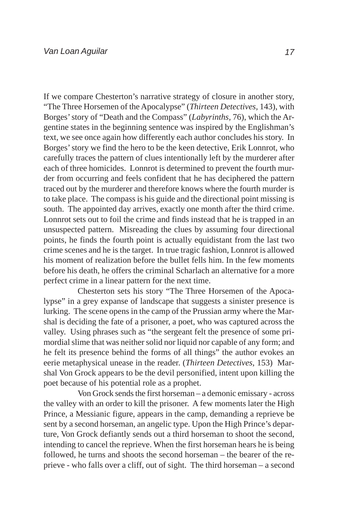If we compare Chesterton's narrative strategy of closure in another story, "The Three Horsemen of the Apocalypse" (*Thirteen Detectives,* 143), with Borges' story of "Death and the Compass" (*Labyrinths,* 76), which the Argentine states in the beginning sentence was inspired by the Englishman's text, we see once again how differently each author concludes his story. In Borges' story we find the hero to be the keen detective, Erik Lonnrot, who carefully traces the pattern of clues intentionally left by the murderer after each of three homicides. Lonnrot is determined to prevent the fourth murder from occurring and feels confident that he has deciphered the pattern traced out by the murderer and therefore knows where the fourth murder is to take place. The compass is his guide and the directional point missing is south. The appointed day arrives, exactly one month after the third crime. Lonnrot sets out to foil the crime and finds instead that he is trapped in an unsuspected pattern. Misreading the clues by assuming four directional points, he finds the fourth point is actually equidistant from the last two crime scenes and he is the target. In true tragic fashion, Lonnrot is allowed his moment of realization before the bullet fells him. In the few moments before his death, he offers the criminal Scharlach an alternative for a more perfect crime in a linear pattern for the next time.

Chesterton sets his story "The Three Horsemen of the Apocalypse" in a grey expanse of landscape that suggests a sinister presence is lurking. The scene opens in the camp of the Prussian army where the Marshal is deciding the fate of a prisoner, a poet, who was captured across the valley. Using phrases such as "the sergeant felt the presence of some primordial slime that was neither solid nor liquid nor capable of any form; and he felt its presence behind the forms of all things" the author evokes an eerie metaphysical unease in the reader. (*Thirteen Detectives*, 153) Marshal Von Grock appears to be the devil personified, intent upon killing the poet because of his potential role as a prophet.

Von Grock sends the first horseman – a demonic emissary - across the valley with an order to kill the prisoner. A few moments later the High Prince, a Messianic figure, appears in the camp, demanding a reprieve be sent by a second horseman, an angelic type. Upon the High Prince's departure, Von Grock defiantly sends out a third horseman to shoot the second, intending to cancel the reprieve. When the first horseman hears he is being followed, he turns and shoots the second horseman – the bearer of the reprieve - who falls over a cliff, out of sight. The third horseman – a second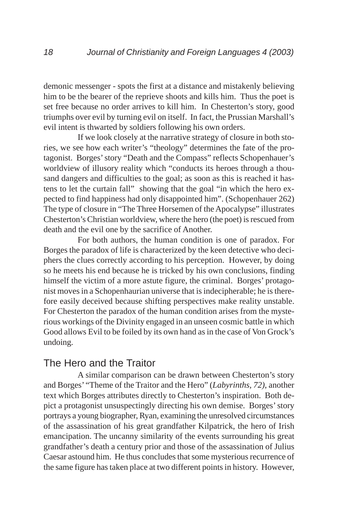demonic messenger - spots the first at a distance and mistakenly believing him to be the bearer of the reprieve shoots and kills him. Thus the poet is set free because no order arrives to kill him. In Chesterton's story, good triumphs over evil by turning evil on itself. In fact, the Prussian Marshall's evil intent is thwarted by soldiers following his own orders.

If we look closely at the narrative strategy of closure in both stories, we see how each writer's "theology" determines the fate of the protagonist. Borges' story "Death and the Compass" reflects Schopenhauer's worldview of illusory reality which "conducts its heroes through a thousand dangers and difficulties to the goal; as soon as this is reached it hastens to let the curtain fall" showing that the goal "in which the hero expected to find happiness had only disappointed him". (Schopenhauer 262) The type of closure in "The Three Horsemen of the Apocalypse" illustrates Chesterton's Christian worldview, where the hero (the poet) is rescued from death and the evil one by the sacrifice of Another.

For both authors, the human condition is one of paradox. For Borges the paradox of life is characterized by the keen detective who deciphers the clues correctly according to his perception. However, by doing so he meets his end because he is tricked by his own conclusions, finding himself the victim of a more astute figure, the criminal. Borges' protagonist moves in a Schopenhaurian universe that is indecipherable; he is therefore easily deceived because shifting perspectives make reality unstable. For Chesterton the paradox of the human condition arises from the mysterious workings of the Divinity engaged in an unseen cosmic battle in which Good allows Evil to be foiled by its own hand as in the case of Von Grock's undoing.

### The Hero and the Traitor

A similar comparison can be drawn between Chesterton's story and Borges' "Theme of the Traitor and the Hero" (*Labyrinths, 72)*, another text which Borges attributes directly to Chesterton's inspiration. Both depict a protagonist unsuspectingly directing his own demise. Borges' story portrays a young biographer, Ryan, examining the unresolved circumstances of the assassination of his great grandfather Kilpatrick, the hero of Irish emancipation. The uncanny similarity of the events surrounding his great grandfather's death a century prior and those of the assassination of Julius Caesar astound him. He thus concludes that some mysterious recurrence of the same figure has taken place at two different points in history. However,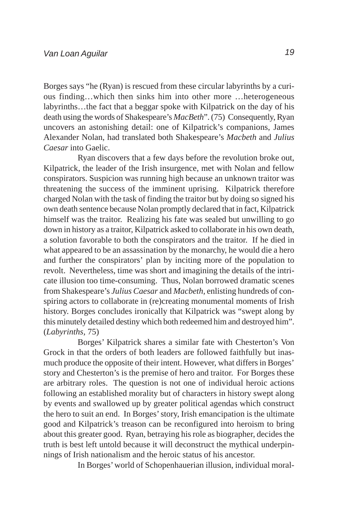Borges says "he (Ryan) is rescued from these circular labyrinths by a curious finding…which then sinks him into other more …heterogeneous labyrinths…the fact that a beggar spoke with Kilpatrick on the day of his death using the words of Shakespeare's *MacBeth*". (75) Consequently, Ryan uncovers an astonishing detail: one of Kilpatrick's companions, James Alexander Nolan, had translated both Shakespeare's *Macbeth* and *Julius Caesar* into Gaelic.

Ryan discovers that a few days before the revolution broke out, Kilpatrick, the leader of the Irish insurgence, met with Nolan and fellow conspirators. Suspicion was running high because an unknown traitor was threatening the success of the imminent uprising. Kilpatrick therefore charged Nolan with the task of finding the traitor but by doing so signed his own death sentence because Nolan promptly declared that in fact, Kilpatrick himself was the traitor. Realizing his fate was sealed but unwilling to go down in history as a traitor, Kilpatrick asked to collaborate in his own death, a solution favorable to both the conspirators and the traitor. If he died in what appeared to be an assassination by the monarchy, he would die a hero and further the conspirators' plan by inciting more of the population to revolt. Nevertheless, time was short and imagining the details of the intricate illusion too time-consuming. Thus, Nolan borrowed dramatic scenes from Shakespeare's *Julius Caesar* and *Macbeth,* enlisting hundreds of conspiring actors to collaborate in (re)creating monumental moments of Irish history. Borges concludes ironically that Kilpatrick was "swept along by this minutely detailed destiny which both redeemed him and destroyed him". (*Labyrinths,* 75)

Borges' Kilpatrick shares a similar fate with Chesterton's Von Grock in that the orders of both leaders are followed faithfully but inasmuch produce the opposite of their intent. However, what differs in Borges' story and Chesterton's is the premise of hero and traitor. For Borges these are arbitrary roles. The question is not one of individual heroic actions following an established morality but of characters in history swept along by events and swallowed up by greater political agendas which construct the hero to suit an end. In Borges' story, Irish emancipation is the ultimate good and Kilpatrick's treason can be reconfigured into heroism to bring about this greater good. Ryan, betraying his role as biographer, decides the truth is best left untold because it will deconstruct the mythical underpinnings of Irish nationalism and the heroic status of his ancestor.

In Borges' world of Schopenhauerian illusion, individual moral-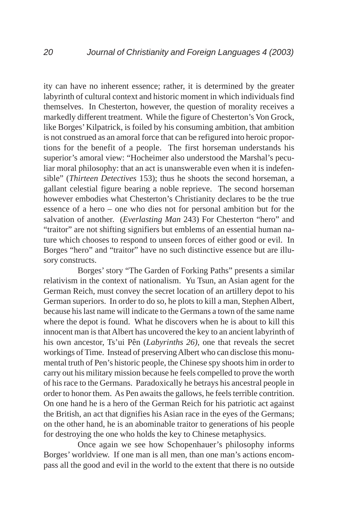ity can have no inherent essence; rather, it is determined by the greater labyrinth of cultural context and historic moment in which individuals find themselves. In Chesterton, however, the question of morality receives a markedly different treatment. While the figure of Chesterton's Von Grock, like Borges' Kilpatrick, is foiled by his consuming ambition, that ambition is not construed as an amoral force that can be refigured into heroic proportions for the benefit of a people. The first horseman understands his superior's amoral view: "Hocheimer also understood the Marshal's peculiar moral philosophy: that an act is unanswerable even when it is indefensible" (*Thirteen Detectives* 153); thus he shoots the second horseman, a gallant celestial figure bearing a noble reprieve. The second horseman however embodies what Chesterton's Christianity declares to be the true essence of a hero – one who dies not for personal ambition but for the salvation of another. (*Everlasting Man* 243) For Chesterton "hero" and "traitor" are not shifting signifiers but emblems of an essential human nature which chooses to respond to unseen forces of either good or evil. In Borges "hero" and "traitor" have no such distinctive essence but are illusory constructs.

Borges' story "The Garden of Forking Paths" presents a similar relativism in the context of nationalism. Yu Tsun, an Asian agent for the German Reich, must convey the secret location of an artillery depot to his German superiors. In order to do so, he plots to kill a man, Stephen Albert, because his last name will indicate to the Germans a town of the same name where the depot is found. What he discovers when he is about to kill this innocent man is that Albert has uncovered the key to an ancient labyrinth of his own ancestor, Ts'ui Pên (*Labyrinths 26)*, one that reveals the secret workings of Time. Instead of preserving Albert who can disclose this monumental truth of Pen's historic people, the Chinese spy shoots him in order to carry out his military mission because he feels compelled to prove the worth of his race to the Germans. Paradoxically he betrays his ancestral people in order to honor them. As Pen awaits the gallows, he feels terrible contrition. On one hand he is a hero of the German Reich for his patriotic act against the British, an act that dignifies his Asian race in the eyes of the Germans; on the other hand, he is an abominable traitor to generations of his people for destroying the one who holds the key to Chinese metaphysics.

Once again we see how Schopenhauer's philosophy informs Borges' worldview. If one man is all men, than one man's actions encompass all the good and evil in the world to the extent that there is no outside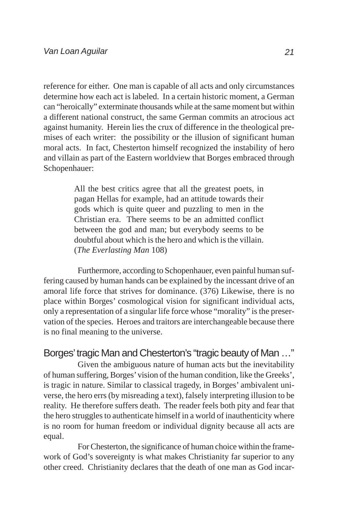reference for either. One man is capable of all acts and only circumstances determine how each act is labeled. In a certain historic moment, a German can "heroically" exterminate thousands while at the same moment but within a different national construct, the same German commits an atrocious act against humanity. Herein lies the crux of difference in the theological premises of each writer: the possibility or the illusion of significant human moral acts. In fact, Chesterton himself recognized the instability of hero and villain as part of the Eastern worldview that Borges embraced through Schopenhauer:

> All the best critics agree that all the greatest poets, in pagan Hellas for example, had an attitude towards their gods which is quite queer and puzzling to men in the Christian era. There seems to be an admitted conflict between the god and man; but everybody seems to be doubtful about which is the hero and which is the villain. (*The Everlasting Man* 108)

Furthermore, according to Schopenhauer, even painful human suffering caused by human hands can be explained by the incessant drive of an amoral life force that strives for dominance. (376) Likewise, there is no place within Borges' cosmological vision for significant individual acts, only a representation of a singular life force whose "morality" is the preservation of the species. Heroes and traitors are interchangeable because there is no final meaning to the universe.

Borges' tragic Man and Chesterton's "tragic beauty of Man …"

Given the ambiguous nature of human acts but the inevitability of human suffering, Borges' vision of the human condition, like the Greeks', is tragic in nature. Similar to classical tragedy, in Borges' ambivalent universe, the hero errs (by misreading a text), falsely interpreting illusion to be reality. He therefore suffers death. The reader feels both pity and fear that the hero struggles to authenticate himself in a world of inauthenticity where is no room for human freedom or individual dignity because all acts are equal.

For Chesterton, the significance of human choice within the framework of God's sovereignty is what makes Christianity far superior to any other creed. Christianity declares that the death of one man as God incar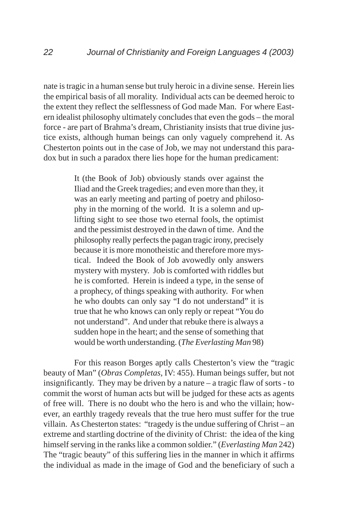nate is tragic in a human sense but truly heroic in a divine sense. Herein lies the empirical basis of all morality. Individual acts can be deemed heroic to the extent they reflect the selflessness of God made Man. For where Eastern idealist philosophy ultimately concludes that even the gods – the moral force - are part of Brahma's dream, Christianity insists that true divine justice exists, although human beings can only vaguely comprehend it. As Chesterton points out in the case of Job, we may not understand this paradox but in such a paradox there lies hope for the human predicament:

> It (the Book of Job) obviously stands over against the Iliad and the Greek tragedies; and even more than they, it was an early meeting and parting of poetry and philosophy in the morning of the world. It is a solemn and uplifting sight to see those two eternal fools, the optimist and the pessimist destroyed in the dawn of time. And the philosophy really perfects the pagan tragic irony, precisely because it is more monotheistic and therefore more mystical. Indeed the Book of Job avowedly only answers mystery with mystery. Job is comforted with riddles but he is comforted. Herein is indeed a type, in the sense of a prophecy, of things speaking with authority. For when he who doubts can only say "I do not understand" it is true that he who knows can only reply or repeat "You do not understand". And under that rebuke there is always a sudden hope in the heart; and the sense of something that would be worth understanding. (*The Everlasting Man* 98)

For this reason Borges aptly calls Chesterton's view the "tragic beauty of Man" (*Obras Completas,* IV: 455). Human beings suffer, but not insignificantly. They may be driven by a nature – a tragic flaw of sorts - to commit the worst of human acts but will be judged for these acts as agents of free will. There is no doubt who the hero is and who the villain; however, an earthly tragedy reveals that the true hero must suffer for the true villain. As Chesterton states: "tragedy is the undue suffering of Christ – an extreme and startling doctrine of the divinity of Christ: the idea of the king himself serving in the ranks like a common soldier." (*Everlasting Man* 242) The "tragic beauty" of this suffering lies in the manner in which it affirms the individual as made in the image of God and the beneficiary of such a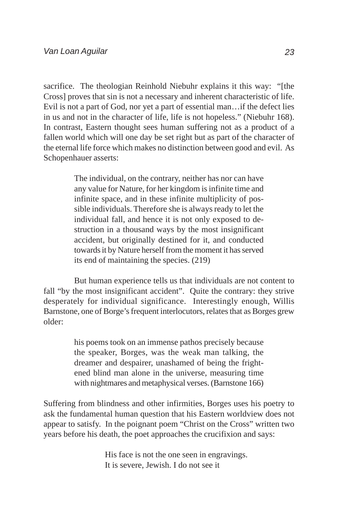sacrifice. The theologian Reinhold Niebuhr explains it this way: "[the Cross] proves that sin is not a necessary and inherent characteristic of life. Evil is not a part of God, nor yet a part of essential man…if the defect lies in us and not in the character of life, life is not hopeless." (Niebuhr 168). In contrast, Eastern thought sees human suffering not as a product of a fallen world which will one day be set right but as part of the character of the eternal life force which makes no distinction between good and evil. As Schopenhauer asserts:

> The individual, on the contrary, neither has nor can have any value for Nature, for her kingdom is infinite time and infinite space, and in these infinite multiplicity of possible individuals. Therefore she is always ready to let the individual fall, and hence it is not only exposed to destruction in a thousand ways by the most insignificant accident, but originally destined for it, and conducted towards it by Nature herself from the moment it has served its end of maintaining the species. (219)

But human experience tells us that individuals are not content to fall "by the most insignificant accident". Quite the contrary: they strive desperately for individual significance. Interestingly enough, Willis Barnstone, one of Borge's frequent interlocutors, relates that as Borges grew older:

> his poems took on an immense pathos precisely because the speaker, Borges, was the weak man talking, the dreamer and despairer, unashamed of being the frightened blind man alone in the universe, measuring time with nightmares and metaphysical verses. (Barnstone 166)

Suffering from blindness and other infirmities, Borges uses his poetry to ask the fundamental human question that his Eastern worldview does not appear to satisfy. In the poignant poem "Christ on the Cross" written two years before his death, the poet approaches the crucifixion and says:

> His face is not the one seen in engravings. It is severe, Jewish. I do not see it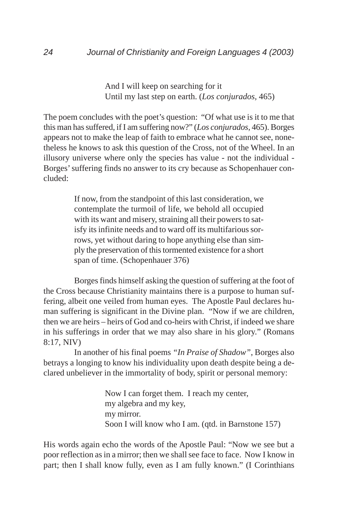And I will keep on searching for it Until my last step on earth. (*Los conjurados,* 465)

The poem concludes with the poet's question: "Of what use is it to me that this man has suffered, if I am suffering now?" (*Los conjurados,* 465). Borges appears not to make the leap of faith to embrace what he cannot see, nonetheless he knows to ask this question of the Cross, not of the Wheel. In an illusory universe where only the species has value - not the individual - Borges' suffering finds no answer to its cry because as Schopenhauer concluded:

> If now, from the standpoint of this last consideration, we contemplate the turmoil of life, we behold all occupied with its want and misery, straining all their powers to satisfy its infinite needs and to ward off its multifarious sorrows, yet without daring to hope anything else than simply the preservation of this tormented existence for a short span of time. (Schopenhauer 376)

Borges finds himself asking the question of suffering at the foot of the Cross because Christianity maintains there is a purpose to human suffering, albeit one veiled from human eyes. The Apostle Paul declares human suffering is significant in the Divine plan. "Now if we are children, then we are heirs – heirs of God and co-heirs with Christ, if indeed we share in his sufferings in order that we may also share in his glory." (Romans 8:17, NIV)

In another of his final poems *"In Praise of Shadow"*, Borges also betrays a longing to know his individuality upon death despite being a declared unbeliever in the immortality of body, spirit or personal memory:

> Now I can forget them. I reach my center, my algebra and my key, my mirror. Soon I will know who I am. (qtd. in Barnstone 157)

His words again echo the words of the Apostle Paul: "Now we see but a poor reflection as in a mirror; then we shall see face to face. Now I know in part; then I shall know fully, even as I am fully known." (I Corinthians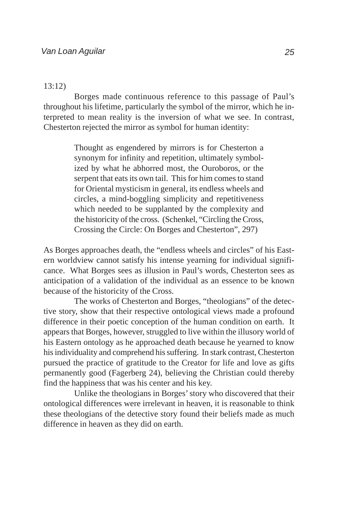#### 13:12)

Borges made continuous reference to this passage of Paul's throughout his lifetime, particularly the symbol of the mirror, which he interpreted to mean reality is the inversion of what we see. In contrast, Chesterton rejected the mirror as symbol for human identity:

> Thought as engendered by mirrors is for Chesterton a synonym for infinity and repetition, ultimately symbolized by what he abhorred most, the Ouroboros, or the serpent that eats its own tail. This for him comes to stand for Oriental mysticism in general, its endless wheels and circles, a mind-boggling simplicity and repetitiveness which needed to be supplanted by the complexity and the historicity of the cross. (Schenkel, "Circling the Cross, Crossing the Circle: On Borges and Chesterton", 297)

As Borges approaches death, the "endless wheels and circles" of his Eastern worldview cannot satisfy his intense yearning for individual significance. What Borges sees as illusion in Paul's words, Chesterton sees as anticipation of a validation of the individual as an essence to be known because of the historicity of the Cross.

The works of Chesterton and Borges, "theologians" of the detective story, show that their respective ontological views made a profound difference in their poetic conception of the human condition on earth. It appears that Borges, however, struggled to live within the illusory world of his Eastern ontology as he approached death because he yearned to know his individuality and comprehend his suffering. In stark contrast, Chesterton pursued the practice of gratitude to the Creator for life and love as gifts permanently good (Fagerberg 24), believing the Christian could thereby find the happiness that was his center and his key.

Unlike the theologians in Borges' story who discovered that their ontological differences were irrelevant in heaven, it is reasonable to think these theologians of the detective story found their beliefs made as much difference in heaven as they did on earth.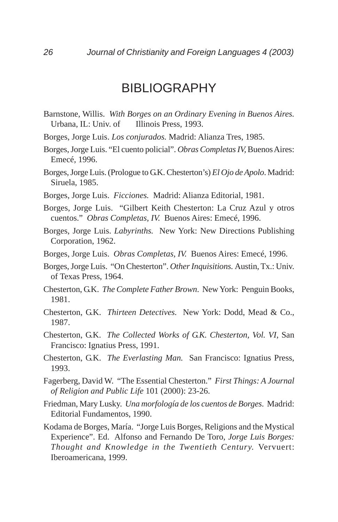# BIBLIOGRAPHY

- Barnstone, Willis. *With Borges on an Ordinary Evening in Buenos Aires.* Urbana, IL: Univ. of Illinois Press, 1993.
- Borges, Jorge Luis. *Los conjurados.* Madrid: Alianza Tres, 1985.
- Borges, Jorge Luis. "El cuento policial". *Obras Completas IV,* Buenos Aires: Emecé, 1996.
- Borges, Jorge Luis. (Prologue to G.K. Chesterton's) *El Ojo de Apolo*. Madrid: Siruela, 1985.
- Borges, Jorge Luis. *Ficciones.* Madrid: Alianza Editorial, 1981.
- Borges, Jorge Luis. "Gilbert Keith Chesterton: La Cruz Azul y otros cuentos." *Obras Completas, IV.* Buenos Aires: Emecé, 1996.
- Borges, Jorge Luis. *Labyrinths.* New York: New Directions Publishing Corporation, 1962.
- Borges, Jorge Luis. *Obras Completas, IV.* Buenos Aires: Emecé, 1996.
- Borges, Jorge Luis. "On Chesterton". *Other Inquisitions.* Austin, Tx.: Univ. of Texas Press, 1964.
- Chesterton, G.K. *The Complete Father Brown*. New York: Penguin Books, 1981.
- Chesterton, G.K. *Thirteen Detectives.* New York: Dodd, Mead & Co., 1987.
- Chesterton, G.K. *The Collected Works of G.K. Chesterton, Vol. VI*, San Francisco: Ignatius Press, 1991.
- Chesterton, G.K. *The Everlasting Man.* San Francisco: Ignatius Press, 1993.
- Fagerberg, David W. "The Essential Chesterton." *First Things: A Journal of Religion and Public Life* 101 (2000): 23-26.
- Friedman, Mary Lusky. *Una morfología de los cuentos de Borges*. Madrid: Editorial Fundamentos, 1990.
- Kodama de Borges, María. "Jorge Luis Borges, Religions and the Mystical Experience". Ed. Alfonso and Fernando De Toro, *Jorge Luis Borges: Thought and Knowledge in the Twentieth Century.* Vervuert: Iberoamericana, 1999.